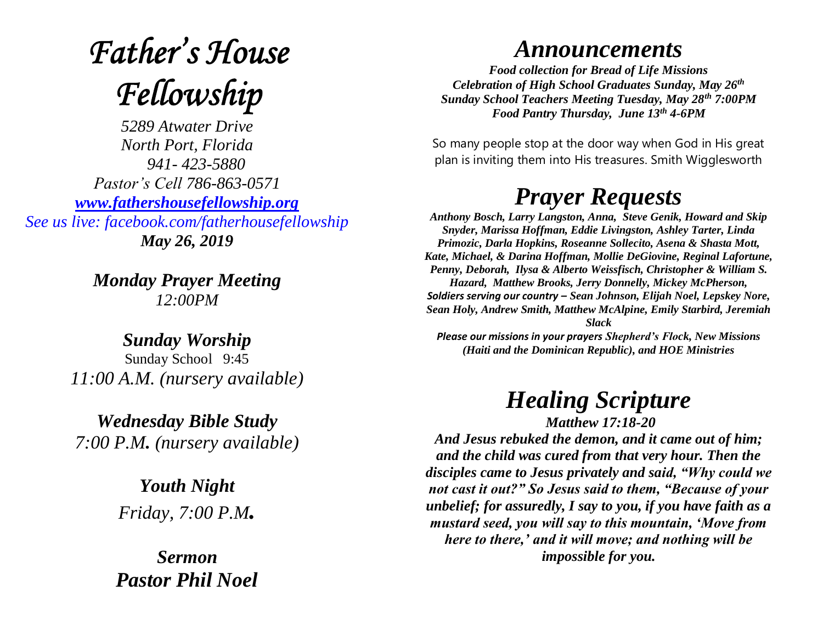# **Father's House** Fellowship

*5289 Atwater Drive North Port, Florida 941- 423-5880 Pastor's Cell 786-863-0571 [www.fathershousefellowship.org](http://www.fathershousefellowship.org/) See us live: facebook.com/fatherhousefellowship May 26, 2019*

> *Monday Prayer Meeting 12:00PM*

*Sunday Worship* Sunday School 9:45 *11:00 A.M. (nursery available)*

*Wednesday Bible Study 7:00 P.M. (nursery available)*

> *Youth Night Friday, 7:00 P.M.*

*Sermon Pastor Phil Noel*

#### *Announcements*

*Food collection for Bread of Life Missions Celebration of High School Graduates Sunday, May 26th Sunday School Teachers Meeting Tuesday, May 28th 7:00PM Food Pantry Thursday, June 13th 4-6PM*

So many people stop at the door way when God in His great plan is inviting them into His treasures. Smith Wigglesworth

### *Prayer Requests*

*Anthony Bosch, Larry Langston, Anna, Steve Genik, Howard and Skip Snyder, Marissa Hoffman, Eddie Livingston, Ashley Tarter, Linda Primozic, Darla Hopkins, Roseanne Sollecito, Asena & Shasta Mott, Kate, Michael, & Darina Hoffman, Mollie DeGiovine, Reginal Lafortune, Penny, Deborah, Ilysa & Alberto Weissfisch, Christopher & William S. Hazard, Matthew Brooks, Jerry Donnelly, Mickey McPherson, Soldiers serving our country – Sean Johnson, Elijah Noel, Lepskey Nore, Sean Holy, Andrew Smith, Matthew McAlpine, Emily Starbird, Jeremiah Slack Please our missions in your prayers Shepherd's Flock, New Missions* 

*(Haiti and the Dominican Republic), and HOE Ministries*

## *Healing Scripture*

*Matthew 17:18-20*

*And Jesus rebuked the demon, and it came out of him; and the child was cured from that very hour. Then the disciples came to Jesus privately and said, "Why could we not cast it out?" So Jesus said to them, "Because of your unbelief; for assuredly, I say to you, if you have faith as a mustard seed, you will say to this mountain, 'Move from here to there,' and it will move; and nothing will be impossible for you.*